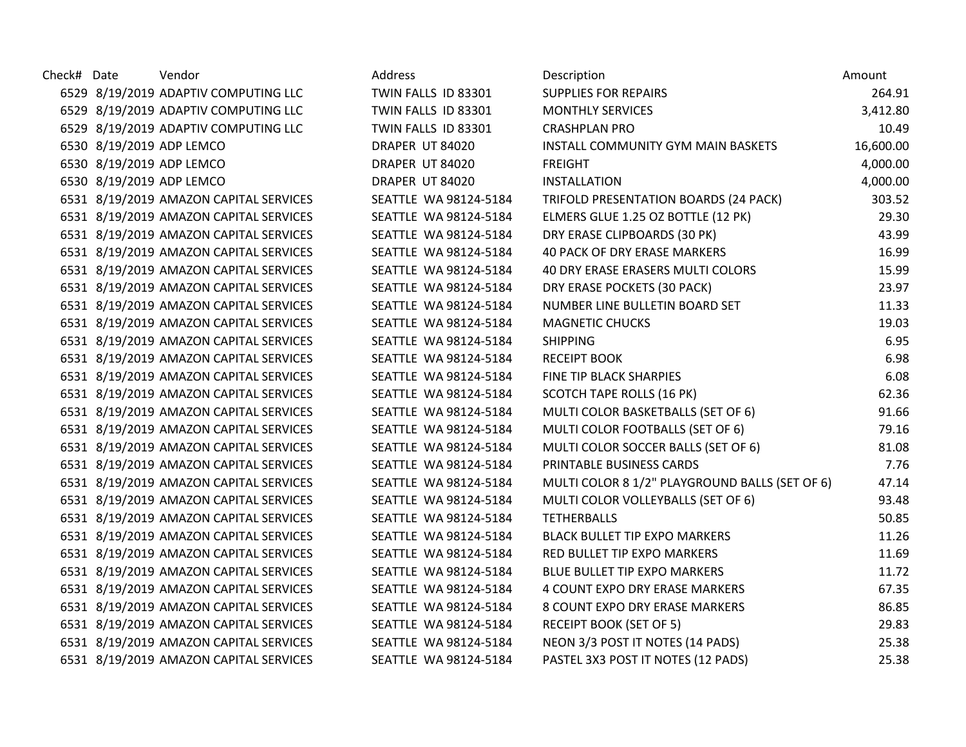| Check# Date | Vendor                                 | Address               | Description                                    | Amount    |
|-------------|----------------------------------------|-----------------------|------------------------------------------------|-----------|
|             | 6529 8/19/2019 ADAPTIV COMPUTING LLC   | TWIN FALLS ID 83301   | <b>SUPPLIES FOR REPAIRS</b>                    | 264.91    |
|             | 6529 8/19/2019 ADAPTIV COMPUTING LLC   | TWIN FALLS ID 83301   | <b>MONTHLY SERVICES</b>                        | 3,412.80  |
|             | 6529 8/19/2019 ADAPTIV COMPUTING LLC   | TWIN FALLS ID 83301   | <b>CRASHPLAN PRO</b>                           | 10.49     |
|             | 6530 8/19/2019 ADP LEMCO               | DRAPER UT 84020       | INSTALL COMMUNITY GYM MAIN BASKETS             | 16,600.00 |
|             | 6530 8/19/2019 ADP LEMCO               | DRAPER UT 84020       | <b>FREIGHT</b>                                 | 4,000.00  |
|             | 6530 8/19/2019 ADP LEMCO               | DRAPER UT 84020       | <b>INSTALLATION</b>                            | 4,000.00  |
|             | 6531 8/19/2019 AMAZON CAPITAL SERVICES | SEATTLE WA 98124-5184 | TRIFOLD PRESENTATION BOARDS (24 PACK)          | 303.52    |
|             | 6531 8/19/2019 AMAZON CAPITAL SERVICES | SEATTLE WA 98124-5184 | ELMERS GLUE 1.25 OZ BOTTLE (12 PK)             | 29.30     |
|             | 6531 8/19/2019 AMAZON CAPITAL SERVICES | SEATTLE WA 98124-5184 | DRY ERASE CLIPBOARDS (30 PK)                   | 43.99     |
|             | 6531 8/19/2019 AMAZON CAPITAL SERVICES | SEATTLE WA 98124-5184 | 40 PACK OF DRY ERASE MARKERS                   | 16.99     |
|             | 6531 8/19/2019 AMAZON CAPITAL SERVICES | SEATTLE WA 98124-5184 | 40 DRY ERASE ERASERS MULTI COLORS              | 15.99     |
|             | 6531 8/19/2019 AMAZON CAPITAL SERVICES | SEATTLE WA 98124-5184 | DRY ERASE POCKETS (30 PACK)                    | 23.97     |
|             | 6531 8/19/2019 AMAZON CAPITAL SERVICES | SEATTLE WA 98124-5184 | NUMBER LINE BULLETIN BOARD SET                 | 11.33     |
|             | 6531 8/19/2019 AMAZON CAPITAL SERVICES | SEATTLE WA 98124-5184 | <b>MAGNETIC CHUCKS</b>                         | 19.03     |
|             | 6531 8/19/2019 AMAZON CAPITAL SERVICES | SEATTLE WA 98124-5184 | <b>SHIPPING</b>                                | 6.95      |
|             | 6531 8/19/2019 AMAZON CAPITAL SERVICES | SEATTLE WA 98124-5184 | <b>RECEIPT BOOK</b>                            | 6.98      |
|             | 6531 8/19/2019 AMAZON CAPITAL SERVICES | SEATTLE WA 98124-5184 | FINE TIP BLACK SHARPIES                        | 6.08      |
|             | 6531 8/19/2019 AMAZON CAPITAL SERVICES | SEATTLE WA 98124-5184 | SCOTCH TAPE ROLLS (16 PK)                      | 62.36     |
|             | 6531 8/19/2019 AMAZON CAPITAL SERVICES | SEATTLE WA 98124-5184 | MULTI COLOR BASKETBALLS (SET OF 6)             | 91.66     |
|             | 6531 8/19/2019 AMAZON CAPITAL SERVICES | SEATTLE WA 98124-5184 | MULTI COLOR FOOTBALLS (SET OF 6)               | 79.16     |
|             | 6531 8/19/2019 AMAZON CAPITAL SERVICES | SEATTLE WA 98124-5184 | MULTI COLOR SOCCER BALLS (SET OF 6)            | 81.08     |
|             | 6531 8/19/2019 AMAZON CAPITAL SERVICES | SEATTLE WA 98124-5184 | PRINTABLE BUSINESS CARDS                       | 7.76      |
|             | 6531 8/19/2019 AMAZON CAPITAL SERVICES | SEATTLE WA 98124-5184 | MULTI COLOR 8 1/2" PLAYGROUND BALLS (SET OF 6) | 47.14     |
|             | 6531 8/19/2019 AMAZON CAPITAL SERVICES | SEATTLE WA 98124-5184 | MULTI COLOR VOLLEYBALLS (SET OF 6)             | 93.48     |
|             | 6531 8/19/2019 AMAZON CAPITAL SERVICES | SEATTLE WA 98124-5184 | <b>TETHERBALLS</b>                             | 50.85     |
|             | 6531 8/19/2019 AMAZON CAPITAL SERVICES | SEATTLE WA 98124-5184 | <b>BLACK BULLET TIP EXPO MARKERS</b>           | 11.26     |
|             | 6531 8/19/2019 AMAZON CAPITAL SERVICES | SEATTLE WA 98124-5184 | RED BULLET TIP EXPO MARKERS                    | 11.69     |
|             | 6531 8/19/2019 AMAZON CAPITAL SERVICES | SEATTLE WA 98124-5184 | <b>BLUE BULLET TIP EXPO MARKERS</b>            | 11.72     |
|             | 6531 8/19/2019 AMAZON CAPITAL SERVICES | SEATTLE WA 98124-5184 | 4 COUNT EXPO DRY ERASE MARKERS                 | 67.35     |
|             | 6531 8/19/2019 AMAZON CAPITAL SERVICES | SEATTLE WA 98124-5184 | 8 COUNT EXPO DRY ERASE MARKERS                 | 86.85     |
|             | 6531 8/19/2019 AMAZON CAPITAL SERVICES | SEATTLE WA 98124-5184 | <b>RECEIPT BOOK (SET OF 5)</b>                 | 29.83     |
|             | 6531 8/19/2019 AMAZON CAPITAL SERVICES | SEATTLE WA 98124-5184 | NEON 3/3 POST IT NOTES (14 PADS)               | 25.38     |
|             | 6531 8/19/2019 AMAZON CAPITAL SERVICES | SEATTLE WA 98124-5184 | PASTEL 3X3 POST IT NOTES (12 PADS)             | 25.38     |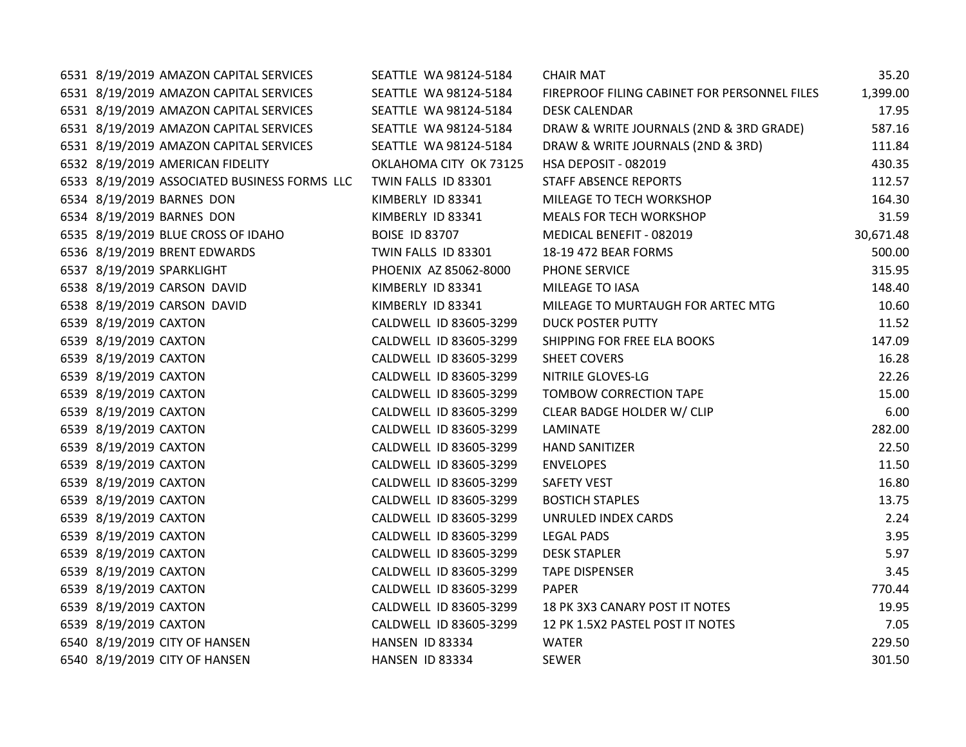| 6531 8/19/2019 AMAZON CAPITAL SERVICES       | SEATTLE WA 98124-5184  | <b>CHAIR MAT</b>                             | 35.20     |
|----------------------------------------------|------------------------|----------------------------------------------|-----------|
| 6531 8/19/2019 AMAZON CAPITAL SERVICES       | SEATTLE WA 98124-5184  | FIREPROOF FILING CABINET FOR PERSONNEL FILES | 1,399.00  |
| 6531 8/19/2019 AMAZON CAPITAL SERVICES       | SEATTLE WA 98124-5184  | <b>DESK CALENDAR</b>                         | 17.95     |
| 6531 8/19/2019 AMAZON CAPITAL SERVICES       | SEATTLE WA 98124-5184  | DRAW & WRITE JOURNALS (2ND & 3RD GRADE)      | 587.16    |
| 6531 8/19/2019 AMAZON CAPITAL SERVICES       | SEATTLE WA 98124-5184  | DRAW & WRITE JOURNALS (2ND & 3RD)            | 111.84    |
| 6532 8/19/2019 AMERICAN FIDELITY             | OKLAHOMA CITY OK 73125 | HSA DEPOSIT - 082019                         | 430.35    |
| 6533 8/19/2019 ASSOCIATED BUSINESS FORMS LLC | TWIN FALLS ID 83301    | <b>STAFF ABSENCE REPORTS</b>                 | 112.57    |
| 6534 8/19/2019 BARNES DON                    | KIMBERLY ID 83341      | MILEAGE TO TECH WORKSHOP                     | 164.30    |
| 6534 8/19/2019 BARNES DON                    | KIMBERLY ID 83341      | MEALS FOR TECH WORKSHOP                      | 31.59     |
| 6535 8/19/2019 BLUE CROSS OF IDAHO           | <b>BOISE ID 83707</b>  | MEDICAL BENEFIT - 082019                     | 30,671.48 |
| 6536 8/19/2019 BRENT EDWARDS                 | TWIN FALLS ID 83301    | 18-19 472 BEAR FORMS                         | 500.00    |
| 6537 8/19/2019 SPARKLIGHT                    | PHOENIX AZ 85062-8000  | PHONE SERVICE                                | 315.95    |
| 6538 8/19/2019 CARSON DAVID                  | KIMBERLY ID 83341      | MILEAGE TO IASA                              | 148.40    |
| 6538 8/19/2019 CARSON DAVID                  | KIMBERLY ID 83341      | MILEAGE TO MURTAUGH FOR ARTEC MTG            | 10.60     |
| 6539 8/19/2019 CAXTON                        | CALDWELL ID 83605-3299 | <b>DUCK POSTER PUTTY</b>                     | 11.52     |
| 6539 8/19/2019 CAXTON                        | CALDWELL ID 83605-3299 | SHIPPING FOR FREE ELA BOOKS                  | 147.09    |
| 6539 8/19/2019 CAXTON                        | CALDWELL ID 83605-3299 | <b>SHEET COVERS</b>                          | 16.28     |
| 6539 8/19/2019 CAXTON                        | CALDWELL ID 83605-3299 | NITRILE GLOVES-LG                            | 22.26     |
| 6539 8/19/2019 CAXTON                        | CALDWELL ID 83605-3299 | TOMBOW CORRECTION TAPE                       | 15.00     |
| 6539 8/19/2019 CAXTON                        | CALDWELL ID 83605-3299 | CLEAR BADGE HOLDER W/ CLIP                   | 6.00      |
| 6539 8/19/2019 CAXTON                        | CALDWELL ID 83605-3299 | <b>LAMINATE</b>                              | 282.00    |
| 6539 8/19/2019 CAXTON                        | CALDWELL ID 83605-3299 | <b>HAND SANITIZER</b>                        | 22.50     |
| 6539 8/19/2019 CAXTON                        | CALDWELL ID 83605-3299 | <b>ENVELOPES</b>                             | 11.50     |
| 6539 8/19/2019 CAXTON                        | CALDWELL ID 83605-3299 | SAFETY VEST                                  | 16.80     |
| 6539 8/19/2019 CAXTON                        | CALDWELL ID 83605-3299 | <b>BOSTICH STAPLES</b>                       | 13.75     |
| 6539 8/19/2019 CAXTON                        | CALDWELL ID 83605-3299 | UNRULED INDEX CARDS                          | 2.24      |
| 6539 8/19/2019 CAXTON                        | CALDWELL ID 83605-3299 | <b>LEGAL PADS</b>                            | 3.95      |
| 6539 8/19/2019 CAXTON                        | CALDWELL ID 83605-3299 | <b>DESK STAPLER</b>                          | 5.97      |
| 6539 8/19/2019 CAXTON                        | CALDWELL ID 83605-3299 | <b>TAPE DISPENSER</b>                        | 3.45      |
| 6539 8/19/2019 CAXTON                        | CALDWELL ID 83605-3299 | <b>PAPER</b>                                 | 770.44    |
| 6539 8/19/2019 CAXTON                        | CALDWELL ID 83605-3299 | 18 PK 3X3 CANARY POST IT NOTES               | 19.95     |
| 6539 8/19/2019 CAXTON                        | CALDWELL ID 83605-3299 | 12 PK 1.5X2 PASTEL POST IT NOTES             | 7.05      |
| 6540 8/19/2019 CITY OF HANSEN                | HANSEN ID 83334        | <b>WATER</b>                                 | 229.50    |
| 6540 8/19/2019 CITY OF HANSEN                | HANSEN ID 83334        | <b>SEWER</b>                                 | 301.50    |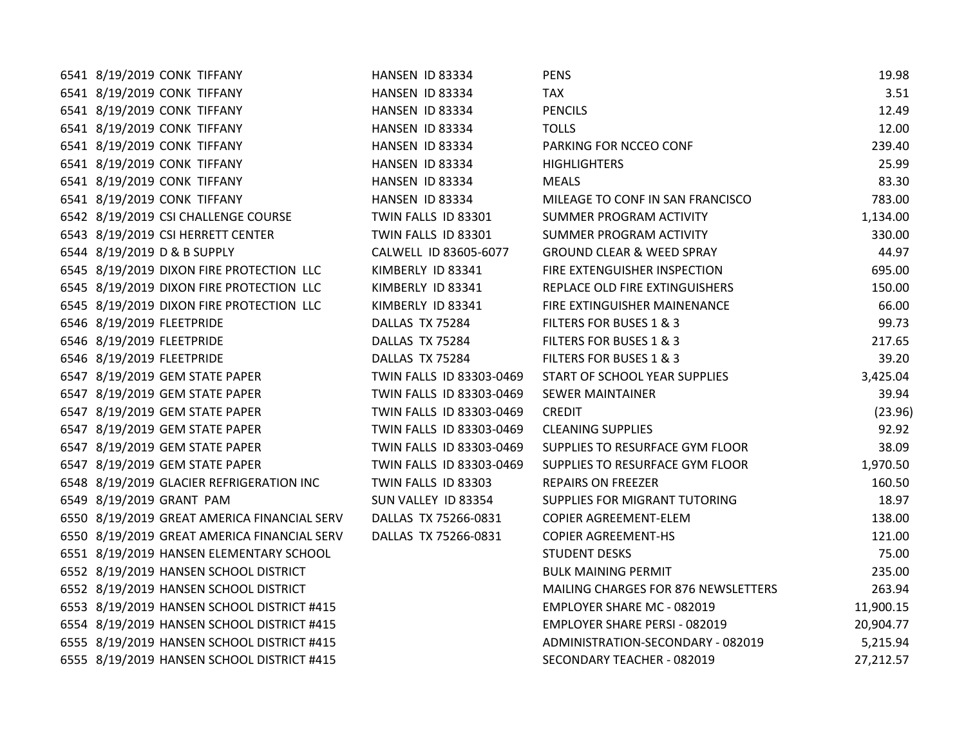| 6541 8/19/2019 CONK TIFFANY                 | HANSEN ID 83334          | <b>PENS</b>                          | 19.98     |
|---------------------------------------------|--------------------------|--------------------------------------|-----------|
| 6541 8/19/2019 CONK TIFFANY                 | HANSEN ID 83334          | <b>TAX</b>                           | 3.51      |
| 6541 8/19/2019 CONK TIFFANY                 | HANSEN ID 83334          | <b>PENCILS</b>                       | 12.49     |
| 6541 8/19/2019 CONK TIFFANY                 | HANSEN ID 83334          | <b>TOLLS</b>                         | 12.00     |
| 6541 8/19/2019 CONK TIFFANY                 | HANSEN ID 83334          | PARKING FOR NCCEO CONF               | 239.40    |
| 6541 8/19/2019 CONK TIFFANY                 | HANSEN ID 83334          | <b>HIGHLIGHTERS</b>                  | 25.99     |
| 6541 8/19/2019 CONK TIFFANY                 | HANSEN ID 83334          | <b>MEALS</b>                         | 83.30     |
| 6541 8/19/2019 CONK TIFFANY                 | HANSEN ID 83334          | MILEAGE TO CONF IN SAN FRANCISCO     | 783.00    |
| 6542 8/19/2019 CSI CHALLENGE COURSE         | TWIN FALLS ID 83301      | SUMMER PROGRAM ACTIVITY              | 1,134.00  |
| 6543 8/19/2019 CSI HERRETT CENTER           | TWIN FALLS ID 83301      | SUMMER PROGRAM ACTIVITY              | 330.00    |
| 6544 8/19/2019 D & B SUPPLY                 | CALWELL ID 83605-6077    | <b>GROUND CLEAR &amp; WEED SPRAY</b> | 44.97     |
| 6545 8/19/2019 DIXON FIRE PROTECTION LLC    | KIMBERLY ID 83341        | FIRE EXTENGUISHER INSPECTION         | 695.00    |
| 6545 8/19/2019 DIXON FIRE PROTECTION LLC    | KIMBERLY ID 83341        | REPLACE OLD FIRE EXTINGUISHERS       | 150.00    |
| 6545 8/19/2019 DIXON FIRE PROTECTION LLC    | KIMBERLY ID 83341        | FIRE EXTINGUISHER MAINENANCE         | 66.00     |
| 6546 8/19/2019 FLEETPRIDE                   | DALLAS TX 75284          | FILTERS FOR BUSES 1 & 3              | 99.73     |
| 6546 8/19/2019 FLEETPRIDE                   | DALLAS TX 75284          | FILTERS FOR BUSES 1 & 3              | 217.65    |
| 6546 8/19/2019 FLEETPRIDE                   | DALLAS TX 75284          | FILTERS FOR BUSES 1 & 3              | 39.20     |
| 6547 8/19/2019 GEM STATE PAPER              | TWIN FALLS ID 83303-0469 | START OF SCHOOL YEAR SUPPLIES        | 3,425.04  |
| 6547 8/19/2019 GEM STATE PAPER              | TWIN FALLS ID 83303-0469 | <b>SEWER MAINTAINER</b>              | 39.94     |
| 6547 8/19/2019 GEM STATE PAPER              | TWIN FALLS ID 83303-0469 | <b>CREDIT</b>                        | (23.96)   |
| 6547 8/19/2019 GEM STATE PAPER              | TWIN FALLS ID 83303-0469 | <b>CLEANING SUPPLIES</b>             | 92.92     |
| 6547 8/19/2019 GEM STATE PAPER              | TWIN FALLS ID 83303-0469 | SUPPLIES TO RESURFACE GYM FLOOR      | 38.09     |
| 6547 8/19/2019 GEM STATE PAPER              | TWIN FALLS ID 83303-0469 | SUPPLIES TO RESURFACE GYM FLOOR      | 1,970.50  |
| 6548 8/19/2019 GLACIER REFRIGERATION INC    | TWIN FALLS ID 83303      | REPAIRS ON FREEZER                   | 160.50    |
| 6549 8/19/2019 GRANT PAM                    | SUN VALLEY ID 83354      | SUPPLIES FOR MIGRANT TUTORING        | 18.97     |
| 6550 8/19/2019 GREAT AMERICA FINANCIAL SERV | DALLAS TX 75266-0831     | <b>COPIER AGREEMENT-ELEM</b>         | 138.00    |
| 6550 8/19/2019 GREAT AMERICA FINANCIAL SERV | DALLAS TX 75266-0831     | <b>COPIER AGREEMENT-HS</b>           | 121.00    |
| 6551 8/19/2019 HANSEN ELEMENTARY SCHOOL     |                          | <b>STUDENT DESKS</b>                 | 75.00     |
| 6552 8/19/2019 HANSEN SCHOOL DISTRICT       |                          | <b>BULK MAINING PERMIT</b>           | 235.00    |
| 6552 8/19/2019 HANSEN SCHOOL DISTRICT       |                          | MAILING CHARGES FOR 876 NEWSLETTERS  | 263.94    |
| 6553 8/19/2019 HANSEN SCHOOL DISTRICT #415  |                          | EMPLOYER SHARE MC - 082019           | 11,900.15 |
| 6554 8/19/2019 HANSEN SCHOOL DISTRICT #415  |                          | EMPLOYER SHARE PERSI - 082019        | 20,904.77 |
| 6555 8/19/2019 HANSEN SCHOOL DISTRICT #415  |                          | ADMINISTRATION-SECONDARY - 082019    | 5,215.94  |
| 6555 8/19/2019 HANSEN SCHOOL DISTRICT #415  |                          | SECONDARY TEACHER - 082019           | 27,212.57 |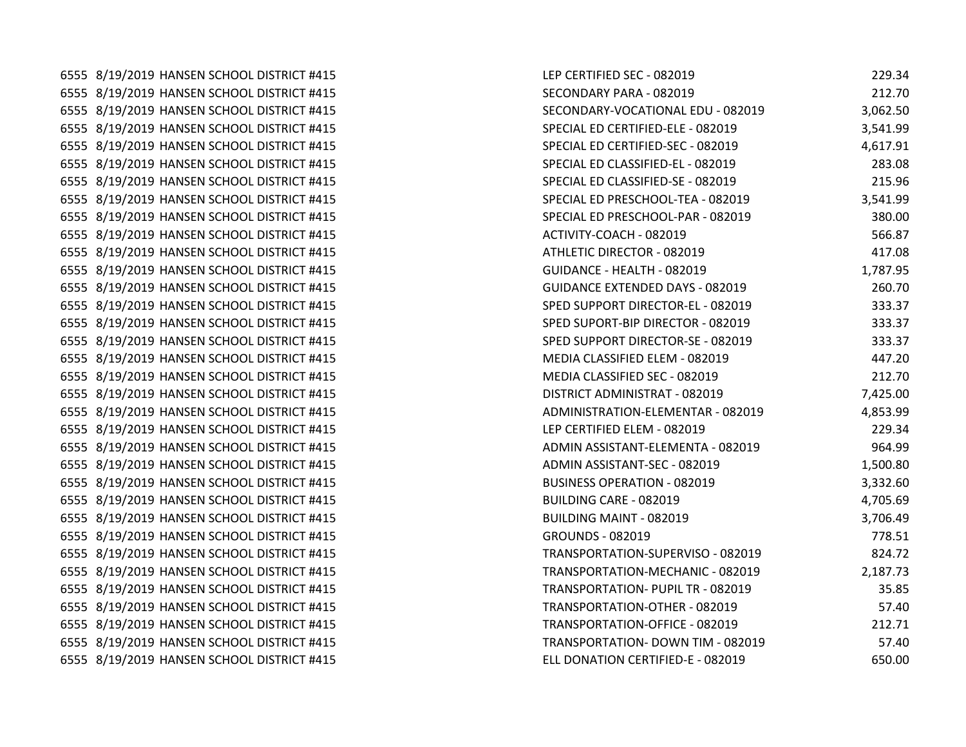6555 8/19/2019 HANSEN SCHOOL DISTRICT #415 6555 8/19/2019 HANSEN SCHOOL DISTRICT #415 6555 8/19/2019 HANSEN SCHOOL DISTRICT #415 6555 8/19/2019 HANSEN SCHOOL DISTRICT #415 6555 8/19/2019 HANSEN SCHOOL DISTRICT #415 6555 8/19/2019 HANSEN SCHOOL DISTRICT #415 6555 8/19/2019 HANSEN SCHOOL DISTRICT #415 6555 8/19/2019 HANSEN SCHOOL DISTRICT #415 6555 8/19/2019 HANSEN SCHOOL DISTRICT #415 6555 8/19/2019 HANSEN SCHOOL DISTRICT #415 6555 8/19/2019 HANSEN SCHOOL DISTRICT #415 6555 8/19/2019 HANSEN SCHOOL DISTRICT #415 6555 8/19/2019 HANSEN SCHOOL DISTRICT #415 6555 8/19/2019 HANSEN SCHOOL DISTRICT #415 6555 8/19/2019 HANSEN SCHOOL DISTRICT #415 6555 8/19/2019 HANSEN SCHOOL DISTRICT #415 6555 8/19/2019 HANSEN SCHOOL DISTRICT #415 6555 8/19/2019 HANSEN SCHOOL DISTRICT #415 6555 8/19/2019 HANSEN SCHOOL DISTRICT #415 6555 8/19/2019 HANSEN SCHOOL DISTRICT #415 6555 8/19/2019 HANSEN SCHOOL DISTRICT #415 6555 8/19/2019 HANSEN SCHOOL DISTRICT #415 6555 8/19/2019 HANSEN SCHOOL DISTRICT #415 6555 8/19/2019 HANSEN SCHOOL DISTRICT #415 6555 8/19/2019 HANSEN SCHOOL DISTRICT #415 6555 8/19/2019 HANSEN SCHOOL DISTRICT #415 6555 8/19/2019 HANSEN SCHOOL DISTRICT #415 6555 8/19/2019 HANSEN SCHOOL DISTRICT #415 6555 8/19/2019 HANSEN SCHOOL DISTRICT #415 6555 8/19/2019 HANSEN SCHOOL DISTRICT #415 6555 8/19/2019 HANSEN SCHOOL DISTRICT #415 6555 8/19/2019 HANSEN SCHOOL DISTRICT #415 6555 8/19/2019 HANSEN SCHOOL DISTRICT #415 6555 8/19/2019 HANSEN SCHOOL DISTRICT #415

| LEP CERTIFIED SEC - 082019         | 229.34   |
|------------------------------------|----------|
| SECONDARY PARA - 082019            | 212.70   |
| SECONDARY-VOCATIONAL EDU - 082019  | 3,062.50 |
| SPECIAL ED CERTIFIED-ELE - 082019  | 3,541.99 |
| SPECIAL ED CERTIFIED-SEC - 082019  | 4,617.91 |
| SPECIAL ED CLASSIFIED-EL - 082019  | 283.08   |
| SPECIAL ED CLASSIFIED-SE - 082019  | 215.96   |
| SPECIAL ED PRESCHOOL-TEA - 082019  | 3,541.99 |
| SPECIAL ED PRESCHOOL-PAR - 082019  | 380.00   |
| ACTIVITY-COACH - 082019            | 566.87   |
| ATHLETIC DIRECTOR - 082019         | 417.08   |
| GUIDANCE - HEALTH - 082019         | 1,787.95 |
| GUIDANCE EXTENDED DAYS - 082019    | 260.70   |
| SPED SUPPORT DIRECTOR-EL - 082019  | 333.37   |
| SPED SUPORT-BIP DIRECTOR - 082019  | 333.37   |
| SPED SUPPORT DIRECTOR-SE - 082019  | 333.37   |
| MEDIA CLASSIFIED ELEM - 082019     | 447.20   |
| MEDIA CLASSIFIED SEC - 082019      | 212.70   |
| DISTRICT ADMINISTRAT - 082019      | 7,425.00 |
| ADMINISTRATION-ELEMENTAR - 082019  | 4,853.99 |
| LEP CERTIFIED ELEM - 082019        | 229.34   |
| ADMIN ASSISTANT-ELEMENTA - 082019  | 964.99   |
| ADMIN ASSISTANT-SEC - 082019       | 1,500.80 |
| <b>BUSINESS OPERATION - 082019</b> | 3,332.60 |
| BUILDING CARE - 082019             | 4,705.69 |
| <b>BUILDING MAINT - 082019</b>     | 3,706.49 |
| GROUNDS - 082019                   | 778.51   |
| TRANSPORTATION-SUPERVISO - 082019  | 824.72   |
| TRANSPORTATION-MECHANIC - 082019   | 2,187.73 |
| TRANSPORTATION- PUPIL TR - 082019  | 35.85    |
| TRANSPORTATION-OTHER - 082019      | 57.40    |
| TRANSPORTATION-OFFICE - 082019     | 212.71   |
| TRANSPORTATION- DOWN TIM - 082019  | 57.40    |
| ELL DONATION CERTIFIED-E - 082019  | 650.00   |
|                                    |          |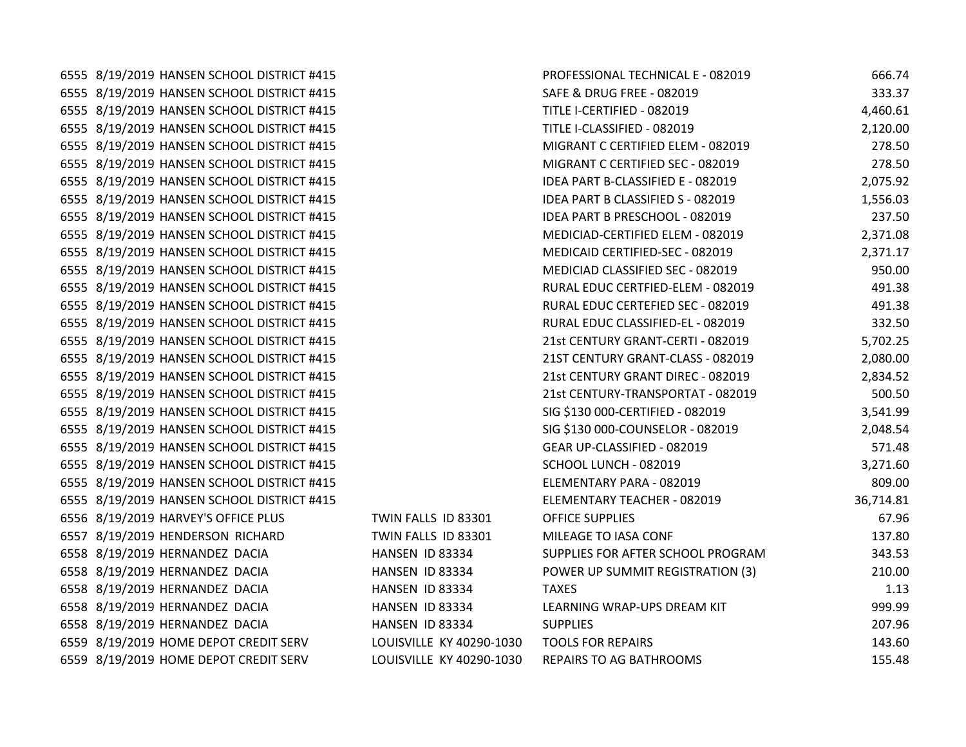6555 8/19/2019 HANSEN SCHOOL DISTRICT #415 6555 8/19/2019 HANSEN SCHOOL DISTRICT #415 6555 8/19/2019 HANSEN SCHOOL DISTRICT #415 6555 8/19/2019 HANSEN SCHOOL DISTRICT #415 6555 8/19/2019 HANSEN SCHOOL DISTRICT #415 6555 8/19/2019 HANSEN SCHOOL DISTRICT #415 6555 8/19/2019 HANSEN SCHOOL DISTRICT #415 6555 8/19/2019 HANSEN SCHOOL DISTRICT #415 6555 8/19/2019 HANSEN SCHOOL DISTRICT #415 6555 8/19/2019 HANSEN SCHOOL DISTRICT #415 6555 8/19/2019 HANSEN SCHOOL DISTRICT #415 6555 8/19/2019 HANSEN SCHOOL DISTRICT #415 6555 8/19/2019 HANSEN SCHOOL DISTRICT #415 6555 8/19/2019 HANSEN SCHOOL DISTRICT #415 6555 8/19/2019 HANSEN SCHOOL DISTRICT #415 6555 8/19/2019 HANSEN SCHOOL DISTRICT #415 6555 8/19/2019 HANSEN SCHOOL DISTRICT #415 6555 8/19/2019 HANSEN SCHOOL DISTRICT #415 6555 8/19/2019 HANSEN SCHOOL DISTRICT #415 6555 8/19/2019 HANSEN SCHOOL DISTRICT #415 6555 8/19/2019 HANSEN SCHOOL DISTRICT #415 6555 8/19/2019 HANSEN SCHOOL DISTRICT #415 6555 8/19/2019 HANSEN SCHOOL DISTRICT #415 6555 8/19/2019 HANSEN SCHOOL DISTRICT #415 6555 8/19/2019 HANSEN SCHOOL DISTRICT #415 6556 8/19/2019 HARVEY'S OFFICE PLUS TWIN FALLS ID 83301 6557 8/19/2019 HENDERSON RICHARD TWIN FALLS ID 83301 6558 8/19/2019 HERNANDEZ DACIA **HANSEN ID 83334** 6558 8/19/2019 HERNANDEZ DACIA **HANSEN ID 83334** 6558 8/19/2019 HERNANDEZ DACIA **HANSEN ID 83334** 6558 8/19/2019 HERNANDEZ DACIA HANSEN ID 83334 6558 8/19/2019 HERNANDEZ DACIA HANSEN ID 83334 6559 8/19/2019 HOME DEPOT CREDIT SERV LOUISVILLE KY 40290-1030 6559 8/19/2019 HOME DEPOT CREDIT SERV LOUISVILLE KY 40290-1030

| PROFESSIONAL TECHNICAL E - 082019 | 666.74    |
|-----------------------------------|-----------|
| SAFE & DRUG FREE - 082019         | 333.37    |
| TITLE I-CERTIFIED - 082019        | 4,460.61  |
| TITLE I-CLASSIFIED - 082019       | 2,120.00  |
| MIGRANT C CERTIFIED ELEM - 082019 | 278.50    |
| MIGRANT C CERTIFIED SEC - 082019  | 278.50    |
| IDEA PART B-CLASSIFIED E - 082019 | 2,075.92  |
| IDEA PART B CLASSIFIED S - 082019 | 1,556.03  |
| IDEA PART B PRESCHOOL - 082019    | 237.50    |
| MEDICIAD-CERTIFIED ELEM - 082019  | 2,371.08  |
| MEDICAID CERTIFIED-SEC - 082019   | 2,371.17  |
| MEDICIAD CLASSIFIED SEC - 082019  | 950.00    |
| RURAL EDUC CERTFIED-ELEM - 082019 | 491.38    |
| RURAL EDUC CERTEFIED SEC - 082019 | 491.38    |
| RURAL EDUC CLASSIFIED-EL - 082019 | 332.50    |
| 21st CENTURY GRANT-CERTI - 082019 | 5,702.25  |
| 21ST CENTURY GRANT-CLASS - 082019 | 2,080.00  |
| 21st CENTURY GRANT DIREC - 082019 | 2,834.52  |
| 21st CENTURY-TRANSPORTAT - 082019 | 500.50    |
| SIG \$130 000-CERTIFIED - 082019  | 3,541.99  |
| SIG \$130 000-COUNSELOR - 082019  | 2,048.54  |
| GEAR UP-CLASSIFIED - 082019       | 571.48    |
| SCHOOL LUNCH - 082019             | 3,271.60  |
| ELEMENTARY PARA - 082019          | 809.00    |
| ELEMENTARY TEACHER - 082019       | 36,714.81 |
| <b>OFFICE SUPPLIES</b>            | 67.96     |
| MILEAGE TO IASA CONF              | 137.80    |
| SUPPLIES FOR AFTER SCHOOL PROGRAM | 343.53    |
| POWER UP SUMMIT REGISTRATION (3)  | 210.00    |
| TAXES                             | 1.13      |
| LEARNING WRAP-UPS DREAM KIT       | 999.99    |
| <b>SUPPLIES</b>                   | 207.96    |
| <b>TOOLS FOR REPAIRS</b>          | 143.60    |
| REPAIRS TO AG BATHROOMS           | 155.48    |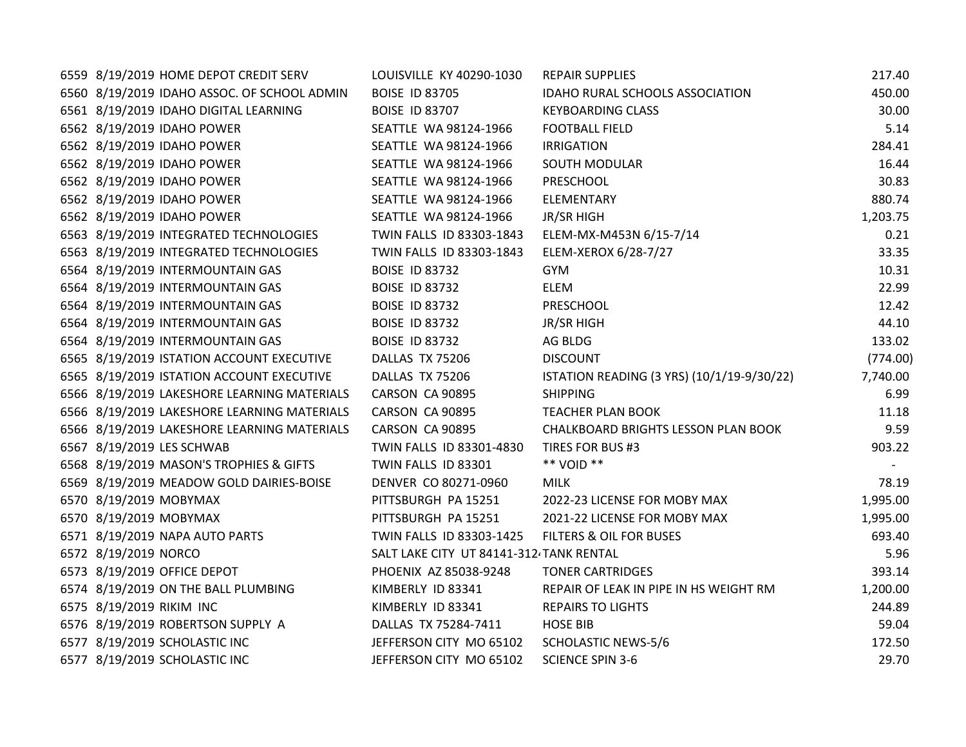| 6559 8/19/2019 HOME DEPOT CREDIT SERV       | LOUISVILLE KY 40290-1030                | <b>REPAIR SUPPLIES</b>                     | 217.40   |
|---------------------------------------------|-----------------------------------------|--------------------------------------------|----------|
| 6560 8/19/2019 IDAHO ASSOC. OF SCHOOL ADMIN | <b>BOISE ID 83705</b>                   | IDAHO RURAL SCHOOLS ASSOCIATION            | 450.00   |
| 6561 8/19/2019 IDAHO DIGITAL LEARNING       | <b>BOISE ID 83707</b>                   | <b>KEYBOARDING CLASS</b>                   | 30.00    |
| 6562 8/19/2019 IDAHO POWER                  | SEATTLE WA 98124-1966                   | <b>FOOTBALL FIELD</b>                      | 5.14     |
| 6562 8/19/2019 IDAHO POWER                  | SEATTLE WA 98124-1966                   | <b>IRRIGATION</b>                          | 284.41   |
| 6562 8/19/2019 IDAHO POWER                  | SEATTLE WA 98124-1966                   | <b>SOUTH MODULAR</b>                       | 16.44    |
| 6562 8/19/2019 IDAHO POWER                  | SEATTLE WA 98124-1966                   | PRESCHOOL                                  | 30.83    |
| 6562 8/19/2019 IDAHO POWER                  | SEATTLE WA 98124-1966                   | ELEMENTARY                                 | 880.74   |
| 6562 8/19/2019 IDAHO POWER                  | SEATTLE WA 98124-1966                   | JR/SR HIGH                                 | 1,203.75 |
| 6563 8/19/2019 INTEGRATED TECHNOLOGIES      | TWIN FALLS ID 83303-1843                | ELEM-MX-M453N 6/15-7/14                    | 0.21     |
| 6563 8/19/2019 INTEGRATED TECHNOLOGIES      | TWIN FALLS ID 83303-1843                | ELEM-XEROX 6/28-7/27                       | 33.35    |
| 6564 8/19/2019 INTERMOUNTAIN GAS            | <b>BOISE ID 83732</b>                   | GYM.                                       | 10.31    |
| 6564 8/19/2019 INTERMOUNTAIN GAS            | <b>BOISE ID 83732</b>                   | <b>ELEM</b>                                | 22.99    |
| 6564 8/19/2019 INTERMOUNTAIN GAS            | <b>BOISE ID 83732</b>                   | PRESCHOOL                                  | 12.42    |
| 6564 8/19/2019 INTERMOUNTAIN GAS            | <b>BOISE ID 83732</b>                   | JR/SR HIGH                                 | 44.10    |
| 6564 8/19/2019 INTERMOUNTAIN GAS            | <b>BOISE ID 83732</b>                   | AG BLDG                                    | 133.02   |
| 6565 8/19/2019 ISTATION ACCOUNT EXECUTIVE   | DALLAS TX 75206                         | <b>DISCOUNT</b>                            | (774.00) |
| 6565 8/19/2019 ISTATION ACCOUNT EXECUTIVE   | DALLAS TX 75206                         | ISTATION READING (3 YRS) (10/1/19-9/30/22) | 7,740.00 |
| 6566 8/19/2019 LAKESHORE LEARNING MATERIALS | CARSON CA 90895                         | <b>SHIPPING</b>                            | 6.99     |
| 6566 8/19/2019 LAKESHORE LEARNING MATERIALS | CARSON CA 90895                         | <b>TEACHER PLAN BOOK</b>                   | 11.18    |
| 6566 8/19/2019 LAKESHORE LEARNING MATERIALS | CARSON CA 90895                         | CHALKBOARD BRIGHTS LESSON PLAN BOOK        | 9.59     |
| 6567 8/19/2019 LES SCHWAB                   | TWIN FALLS ID 83301-4830                | TIRES FOR BUS #3                           | 903.22   |
| 6568 8/19/2019 MASON'S TROPHIES & GIFTS     | TWIN FALLS ID 83301                     | ** VOID **                                 |          |
| 6569 8/19/2019 MEADOW GOLD DAIRIES-BOISE    | DENVER CO 80271-0960                    | <b>MILK</b>                                | 78.19    |
| 6570 8/19/2019 MOBYMAX                      | PITTSBURGH PA 15251                     | 2022-23 LICENSE FOR MOBY MAX               | 1,995.00 |
| 6570 8/19/2019 MOBYMAX                      | PITTSBURGH PA 15251                     | 2021-22 LICENSE FOR MOBY MAX               | 1,995.00 |
| 6571 8/19/2019 NAPA AUTO PARTS              | TWIN FALLS ID 83303-1425                | FILTERS & OIL FOR BUSES                    | 693.40   |
| 6572 8/19/2019 NORCO                        | SALT LAKE CITY UT 84141-312 TANK RENTAL |                                            | 5.96     |
| 6573 8/19/2019 OFFICE DEPOT                 | PHOENIX AZ 85038-9248                   | <b>TONER CARTRIDGES</b>                    | 393.14   |
| 6574 8/19/2019 ON THE BALL PLUMBING         | KIMBERLY ID 83341                       | REPAIR OF LEAK IN PIPE IN HS WEIGHT RM     | 1,200.00 |
| 6575 8/19/2019 RIKIM INC                    | KIMBERLY ID 83341                       | <b>REPAIRS TO LIGHTS</b>                   | 244.89   |
| 6576 8/19/2019 ROBERTSON SUPPLY A           | DALLAS TX 75284-7411                    | <b>HOSE BIB</b>                            | 59.04    |
| 6577 8/19/2019 SCHOLASTIC INC               | JEFFERSON CITY MO 65102                 | <b>SCHOLASTIC NEWS-5/6</b>                 | 172.50   |
| 6577 8/19/2019 SCHOLASTIC INC               | JEFFERSON CITY MO 65102                 | <b>SCIENCE SPIN 3-6</b>                    | 29.70    |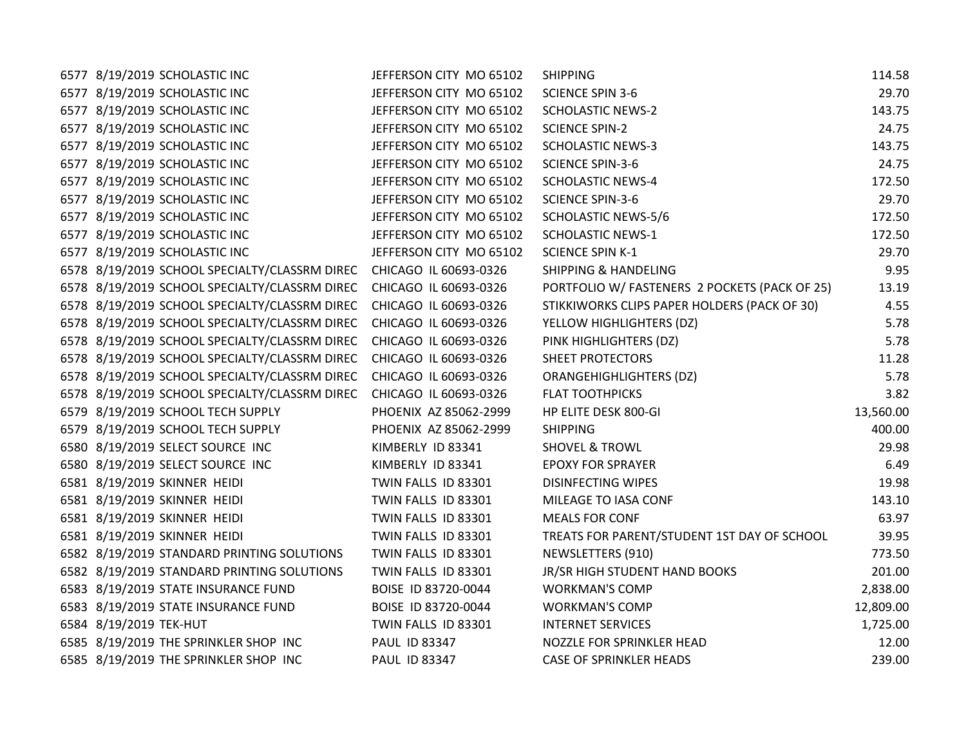| 6577 8/19/2019 SCHOLASTIC INC                                       | JEFFERSON CITY MO 65102 | <b>SHIPPING</b>                               | 114.58    |
|---------------------------------------------------------------------|-------------------------|-----------------------------------------------|-----------|
| 6577 8/19/2019 SCHOLASTIC INC                                       | JEFFERSON CITY MO 65102 | <b>SCIENCE SPIN 3-6</b>                       | 29.70     |
| 6577 8/19/2019 SCHOLASTIC INC                                       | JEFFERSON CITY MO 65102 | <b>SCHOLASTIC NEWS-2</b>                      | 143.75    |
| 6577 8/19/2019 SCHOLASTIC INC                                       | JEFFERSON CITY MO 65102 | <b>SCIENCE SPIN-2</b>                         | 24.75     |
| 6577 8/19/2019 SCHOLASTIC INC                                       | JEFFERSON CITY MO 65102 | <b>SCHOLASTIC NEWS-3</b>                      | 143.75    |
| 6577 8/19/2019 SCHOLASTIC INC                                       | JEFFERSON CITY MO 65102 | <b>SCIENCE SPIN-3-6</b>                       | 24.75     |
| 6577 8/19/2019 SCHOLASTIC INC                                       | JEFFERSON CITY MO 65102 | <b>SCHOLASTIC NEWS-4</b>                      | 172.50    |
| 6577 8/19/2019 SCHOLASTIC INC                                       | JEFFERSON CITY MO 65102 | <b>SCIENCE SPIN-3-6</b>                       | 29.70     |
| 6577 8/19/2019 SCHOLASTIC INC                                       | JEFFERSON CITY MO 65102 | <b>SCHOLASTIC NEWS-5/6</b>                    | 172.50    |
| 6577 8/19/2019 SCHOLASTIC INC                                       | JEFFERSON CITY MO 65102 | <b>SCHOLASTIC NEWS-1</b>                      | 172.50    |
| 6577 8/19/2019 SCHOLASTIC INC                                       | JEFFERSON CITY MO 65102 | <b>SCIENCE SPIN K-1</b>                       | 29.70     |
| 6578 8/19/2019 SCHOOL SPECIALTY/CLASSRM DIREC CHICAGO IL 60693-0326 |                         | <b>SHIPPING &amp; HANDELING</b>               | 9.95      |
| 6578 8/19/2019 SCHOOL SPECIALTY/CLASSRM DIREC CHICAGO IL 60693-0326 |                         | PORTFOLIO W/ FASTENERS 2 POCKETS (PACK OF 25) | 13.19     |
| 6578 8/19/2019 SCHOOL SPECIALTY/CLASSRM DIREC CHICAGO IL 60693-0326 |                         | STIKKIWORKS CLIPS PAPER HOLDERS (PACK OF 30)  | 4.55      |
| 6578 8/19/2019 SCHOOL SPECIALTY/CLASSRM DIREC                       | CHICAGO IL 60693-0326   | YELLOW HIGHLIGHTERS (DZ)                      | 5.78      |
| 6578 8/19/2019 SCHOOL SPECIALTY/CLASSRM DIREC                       | CHICAGO IL 60693-0326   | PINK HIGHLIGHTERS (DZ)                        | 5.78      |
| 6578 8/19/2019 SCHOOL SPECIALTY/CLASSRM DIREC                       | CHICAGO IL 60693-0326   | SHEET PROTECTORS                              | 11.28     |
| 6578 8/19/2019 SCHOOL SPECIALTY/CLASSRM DIREC                       | CHICAGO IL 60693-0326   | <b>ORANGEHIGHLIGHTERS (DZ)</b>                | 5.78      |
| 6578 8/19/2019 SCHOOL SPECIALTY/CLASSRM DIREC                       | CHICAGO IL 60693-0326   | <b>FLAT TOOTHPICKS</b>                        | 3.82      |
| 6579 8/19/2019 SCHOOL TECH SUPPLY                                   | PHOENIX AZ 85062-2999   | HP ELITE DESK 800-GI                          | 13,560.00 |
| 6579 8/19/2019 SCHOOL TECH SUPPLY                                   | PHOENIX AZ 85062-2999   | <b>SHIPPING</b>                               | 400.00    |
| 6580 8/19/2019 SELECT SOURCE INC                                    | KIMBERLY ID 83341       | <b>SHOVEL &amp; TROWL</b>                     | 29.98     |
| 6580 8/19/2019 SELECT SOURCE INC                                    | KIMBERLY ID 83341       | <b>EPOXY FOR SPRAYER</b>                      | 6.49      |
| 6581 8/19/2019 SKINNER HEIDI                                        | TWIN FALLS ID 83301     | <b>DISINFECTING WIPES</b>                     | 19.98     |
| 6581 8/19/2019 SKINNER HEIDI                                        | TWIN FALLS ID 83301     | MILEAGE TO IASA CONF                          | 143.10    |
| 6581 8/19/2019 SKINNER HEIDI                                        | TWIN FALLS ID 83301     | <b>MEALS FOR CONF</b>                         | 63.97     |
| 6581 8/19/2019 SKINNER HEIDI                                        | TWIN FALLS ID 83301     | TREATS FOR PARENT/STUDENT 1ST DAY OF SCHOOL   | 39.95     |
| 6582 8/19/2019 STANDARD PRINTING SOLUTIONS                          | TWIN FALLS ID 83301     | NEWSLETTERS (910)                             | 773.50    |
| 6582 8/19/2019 STANDARD PRINTING SOLUTIONS                          | TWIN FALLS ID 83301     | JR/SR HIGH STUDENT HAND BOOKS                 | 201.00    |
| 6583 8/19/2019 STATE INSURANCE FUND                                 | BOISE ID 83720-0044     | <b>WORKMAN'S COMP</b>                         | 2,838.00  |
| 6583 8/19/2019 STATE INSURANCE FUND                                 | BOISE ID 83720-0044     | <b>WORKMAN'S COMP</b>                         | 12,809.00 |
| 6584 8/19/2019 TEK-HUT                                              | TWIN FALLS ID 83301     | <b>INTERNET SERVICES</b>                      | 1,725.00  |
| 6585 8/19/2019 THE SPRINKLER SHOP INC                               | PAUL ID 83347           | NOZZLE FOR SPRINKLER HEAD                     | 12.00     |
| 6585 8/19/2019 THE SPRINKLER SHOP INC                               | PAUL ID 83347           | <b>CASE OF SPRINKLER HEADS</b>                | 239.00    |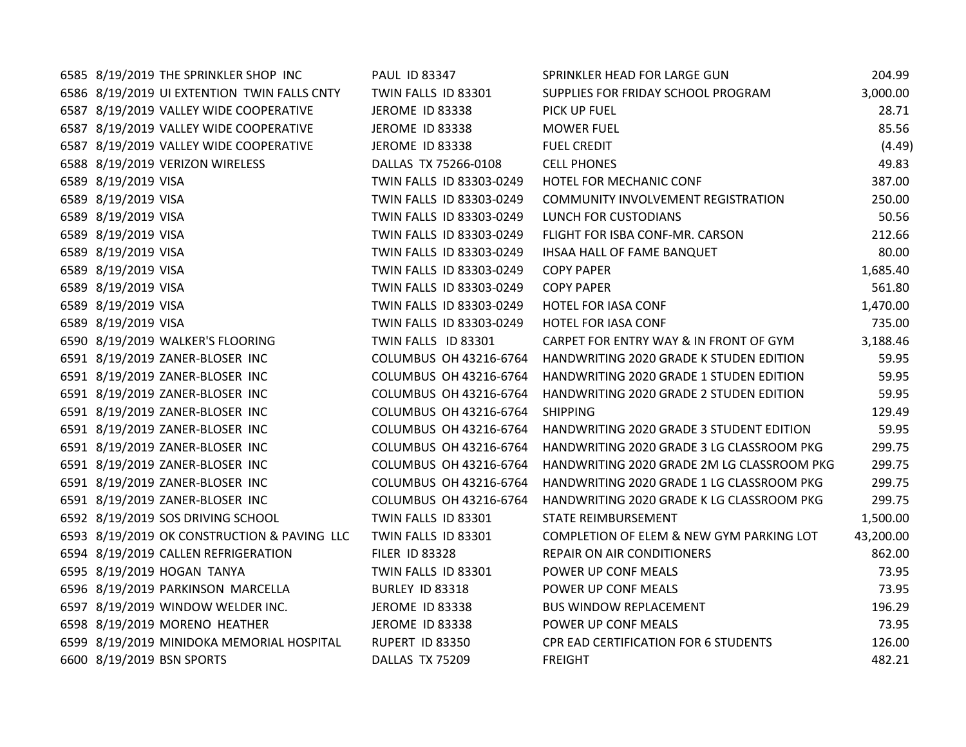| 6585 8/19/2019 THE SPRINKLER SHOP INC       | PAUL ID 83347            | SPRINKLER HEAD FOR LARGE GUN               | 204.99    |
|---------------------------------------------|--------------------------|--------------------------------------------|-----------|
| 6586 8/19/2019 UI EXTENTION TWIN FALLS CNTY | TWIN FALLS ID 83301      | SUPPLIES FOR FRIDAY SCHOOL PROGRAM         | 3,000.00  |
| 6587 8/19/2019 VALLEY WIDE COOPERATIVE      | <b>JEROME ID 83338</b>   | PICK UP FUEL                               | 28.71     |
| 6587 8/19/2019 VALLEY WIDE COOPERATIVE      | <b>JEROME ID 83338</b>   | <b>MOWER FUEL</b>                          | 85.56     |
| 6587 8/19/2019 VALLEY WIDE COOPERATIVE      | JEROME ID 83338          | <b>FUEL CREDIT</b>                         | (4.49)    |
| 6588 8/19/2019 VERIZON WIRELESS             | DALLAS TX 75266-0108     | <b>CELL PHONES</b>                         | 49.83     |
| 6589 8/19/2019 VISA                         | TWIN FALLS ID 83303-0249 | HOTEL FOR MECHANIC CONF                    | 387.00    |
| 6589 8/19/2019 VISA                         | TWIN FALLS ID 83303-0249 | COMMUNITY INVOLVEMENT REGISTRATION         | 250.00    |
| 6589 8/19/2019 VISA                         | TWIN FALLS ID 83303-0249 | LUNCH FOR CUSTODIANS                       | 50.56     |
| 6589 8/19/2019 VISA                         | TWIN FALLS ID 83303-0249 | FLIGHT FOR ISBA CONF-MR. CARSON            | 212.66    |
| 6589 8/19/2019 VISA                         | TWIN FALLS ID 83303-0249 | IHSAA HALL OF FAME BANQUET                 | 80.00     |
| 6589 8/19/2019 VISA                         | TWIN FALLS ID 83303-0249 | <b>COPY PAPER</b>                          | 1,685.40  |
| 6589 8/19/2019 VISA                         | TWIN FALLS ID 83303-0249 | <b>COPY PAPER</b>                          | 561.80    |
| 6589 8/19/2019 VISA                         | TWIN FALLS ID 83303-0249 | HOTEL FOR IASA CONF                        | 1,470.00  |
| 6589 8/19/2019 VISA                         | TWIN FALLS ID 83303-0249 | HOTEL FOR IASA CONF                        | 735.00    |
| 6590 8/19/2019 WALKER'S FLOORING            | TWIN FALLS ID 83301      | CARPET FOR ENTRY WAY & IN FRONT OF GYM     | 3,188.46  |
| 6591 8/19/2019 ZANER-BLOSER INC             | COLUMBUS OH 43216-6764   | HANDWRITING 2020 GRADE K STUDEN EDITION    | 59.95     |
| 6591 8/19/2019 ZANER-BLOSER INC             | COLUMBUS OH 43216-6764   | HANDWRITING 2020 GRADE 1 STUDEN EDITION    | 59.95     |
| 6591 8/19/2019 ZANER-BLOSER INC             | COLUMBUS OH 43216-6764   | HANDWRITING 2020 GRADE 2 STUDEN EDITION    | 59.95     |
| 6591 8/19/2019 ZANER-BLOSER INC             | COLUMBUS OH 43216-6764   | <b>SHIPPING</b>                            | 129.49    |
| 6591 8/19/2019 ZANER-BLOSER INC             | COLUMBUS OH 43216-6764   | HANDWRITING 2020 GRADE 3 STUDENT EDITION   | 59.95     |
| 6591 8/19/2019 ZANER-BLOSER INC             | COLUMBUS OH 43216-6764   | HANDWRITING 2020 GRADE 3 LG CLASSROOM PKG  | 299.75    |
| 6591 8/19/2019 ZANER-BLOSER INC             | COLUMBUS OH 43216-6764   | HANDWRITING 2020 GRADE 2M LG CLASSROOM PKG | 299.75    |
| 6591 8/19/2019 ZANER-BLOSER INC             | COLUMBUS OH 43216-6764   | HANDWRITING 2020 GRADE 1 LG CLASSROOM PKG  | 299.75    |
| 6591 8/19/2019 ZANER-BLOSER INC             | COLUMBUS OH 43216-6764   | HANDWRITING 2020 GRADE K LG CLASSROOM PKG  | 299.75    |
| 6592 8/19/2019 SOS DRIVING SCHOOL           | TWIN FALLS ID 83301      | STATE REIMBURSEMENT                        | 1,500.00  |
| 6593 8/19/2019 OK CONSTRUCTION & PAVING LLC | TWIN FALLS ID 83301      | COMPLETION OF ELEM & NEW GYM PARKING LOT   | 43,200.00 |
| 6594 8/19/2019 CALLEN REFRIGERATION         | <b>FILER ID 83328</b>    | REPAIR ON AIR CONDITIONERS                 | 862.00    |
| 6595 8/19/2019 HOGAN TANYA                  | TWIN FALLS ID 83301      | POWER UP CONF MEALS                        | 73.95     |
| 6596 8/19/2019 PARKINSON MARCELLA           | BURLEY ID 83318          | POWER UP CONF MEALS                        | 73.95     |
| 6597 8/19/2019 WINDOW WELDER INC.           | JEROME ID 83338          | <b>BUS WINDOW REPLACEMENT</b>              | 196.29    |
| 6598 8/19/2019 MORENO HEATHER               | <b>JEROME ID 83338</b>   | POWER UP CONF MEALS                        | 73.95     |
| 6599 8/19/2019 MINIDOKA MEMORIAL HOSPITAL   | RUPERT ID 83350          | CPR EAD CERTIFICATION FOR 6 STUDENTS       | 126.00    |
| 6600 8/19/2019 BSN SPORTS                   | DALLAS TX 75209          | <b>FREIGHT</b>                             | 482.21    |